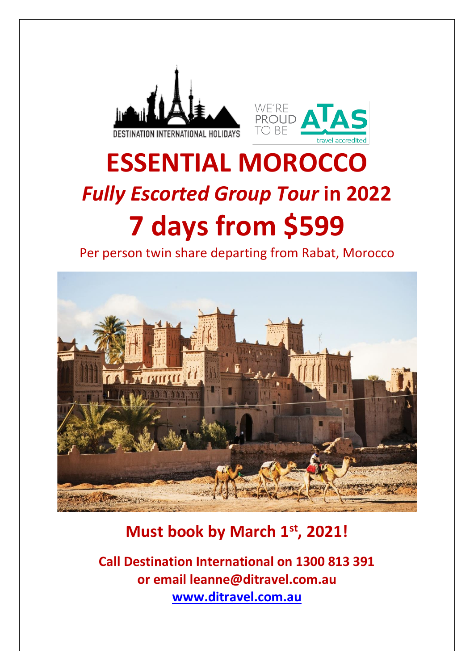



# **ESSENTIAL MOROCCO** *Fully Escorted Group Tour* **in 2022 7 days from \$599**

Per person twin share departing from Rabat, Morocco



# **Must book by March 1st , 2021!**

**Call Destination International on 1300 813 391 or email leanne@ditravel.com.au [www.ditravel.com.au](http://www.ditravel.com.au/)**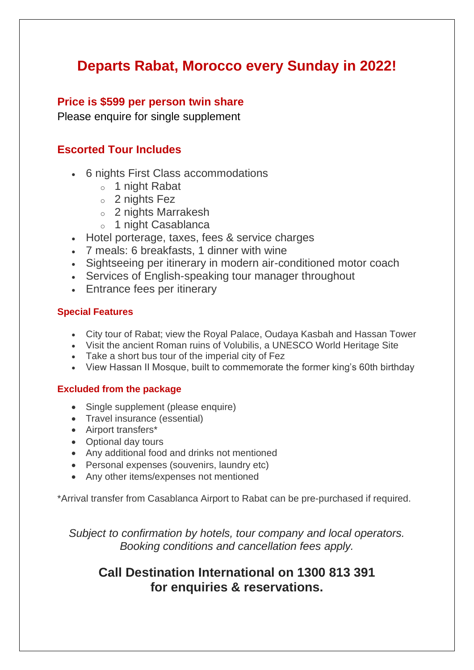# **Departs Rabat, Morocco every Sunday in 2022!**

# **Price is \$599 per person twin share**

Please enquire for single supplement

# **Escorted Tour Includes**

- 6 nights First Class accommodations
	- o 1 night Rabat
	- o 2 nights Fez
	- o 2 nights Marrakesh
	- o 1 night Casablanca
- Hotel porterage, taxes, fees & service charges
- 7 meals: 6 breakfasts, 1 dinner with wine
- Sightseeing per itinerary in modern air-conditioned motor coach
- Services of English-speaking tour manager throughout
- Entrance fees per itinerary

# **Special Features**

- City tour of Rabat; view the Royal Palace, Oudaya Kasbah and Hassan Tower
- Visit the ancient Roman ruins of Volubilis, a UNESCO World Heritage Site
- Take a short bus tour of the imperial city of Fez
- View Hassan II Mosque, built to commemorate the former king's 60th birthday

# **Excluded from the package**

- Single supplement (please enquire)
- Travel insurance (essential)
- Airport transfers\*
- Optional day tours
- Any additional food and drinks not mentioned
- Personal expenses (souvenirs, laundry etc)
- Any other items/expenses not mentioned

\*Arrival transfer from Casablanca Airport to Rabat can be pre-purchased if required.

*Subject to confirmation by hotels, tour company and local operators. Booking conditions and cancellation fees apply.*

# **Call Destination International on 1300 813 391 for enquiries & reservations.**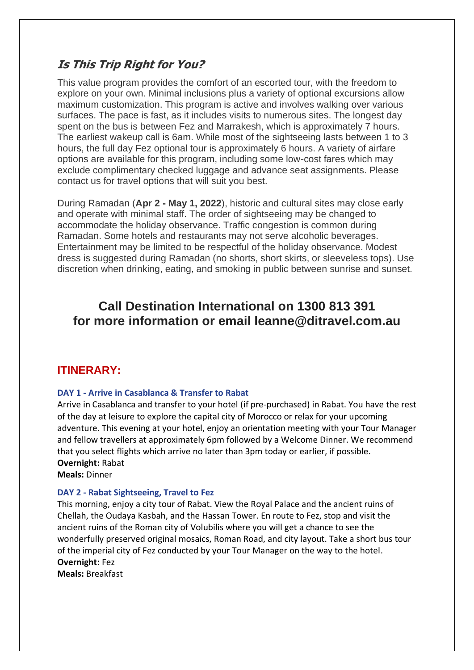# **Is This Trip Right for You?**

This value program provides the comfort of an escorted tour, with the freedom to explore on your own. Minimal inclusions plus a variety of optional excursions allow maximum customization. This program is active and involves walking over various surfaces. The pace is fast, as it includes visits to numerous sites. The longest day spent on the bus is between Fez and Marrakesh, which is approximately 7 hours. The earliest wakeup call is 6am. While most of the sightseeing lasts between 1 to 3 hours, the full day Fez optional tour is approximately 6 hours. A variety of airfare options are available for this program, including some low-cost fares which may exclude complimentary checked luggage and advance seat assignments. Please contact us for travel options that will suit you best.

During Ramadan (**Apr 2 - May 1, 2022**), historic and cultural sites may close early and operate with minimal staff. The order of sightseeing may be changed to accommodate the holiday observance. Traffic congestion is common during Ramadan. Some hotels and restaurants may not serve alcoholic beverages. Entertainment may be limited to be respectful of the holiday observance. Modest dress is suggested during Ramadan (no shorts, short skirts, or sleeveless tops). Use discretion when drinking, eating, and smoking in public between sunrise and sunset.

# **Call Destination International on 1300 813 391 for more information or email leanne@ditravel.com.au**

# **ITINERARY:**

#### **DAY 1 - Arrive in Casablanca & Transfer to Rabat**

Arrive in Casablanca and transfer to your hotel (if pre-purchased) in Rabat. You have the rest of the day at leisure to explore the capital city of Morocco or relax for your upcoming adventure. This evening at your hotel, enjoy an orientation meeting with your Tour Manager and fellow travellers at approximately 6pm followed by a Welcome Dinner. We recommend that you select flights which arrive no later than 3pm today or earlier, if possible. **Overnight:** Rabat

**Meals:** Dinner

#### **DAY 2 - Rabat Sightseeing, Travel to Fez**

This morning, enjoy a city tour of Rabat. View the Royal Palace and the ancient ruins of Chellah, the Oudaya Kasbah, and the Hassan Tower. En route to Fez, stop and visit the ancient ruins of the Roman city of Volubilis where you will get a chance to see the wonderfully preserved original mosaics, Roman Road, and city layout. Take a short bus tour of the imperial city of Fez conducted by your Tour Manager on the way to the hotel. **Overnight:** Fez

**Meals:** Breakfast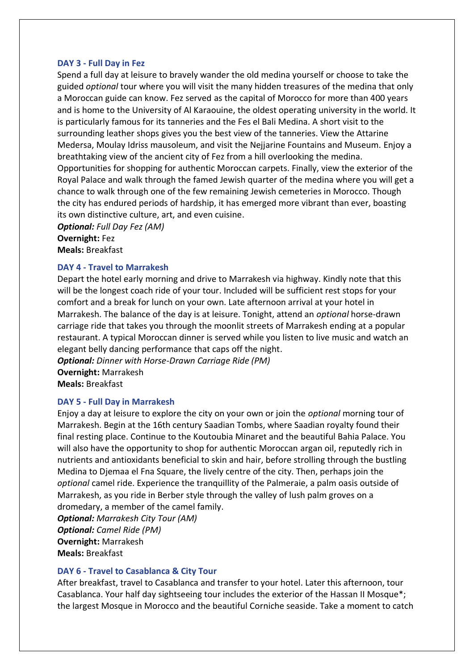#### **DAY 3 - Full Day in Fez**

Spend a full day at leisure to bravely wander the old medina yourself or choose to take the guided *optional* tour where you will visit the many hidden treasures of the medina that only a Moroccan guide can know. Fez served as the capital of Morocco for more than 400 years and is home to the University of Al Karaouine, the oldest operating university in the world. It is particularly famous for its tanneries and the Fes el Bali Medina. A short visit to the surrounding leather shops gives you the best view of the tanneries. View the Attarine Medersa, Moulay Idriss mausoleum, and visit the Nejjarine Fountains and Museum. Enjoy a breathtaking view of the ancient city of Fez from a hill overlooking the medina. Opportunities for shopping for authentic Moroccan carpets. Finally, view the exterior of the Royal Palace and walk through the famed Jewish quarter of the medina where you will get a chance to walk through one of the few remaining Jewish cemeteries in Morocco. Though the city has endured periods of hardship, it has emerged more vibrant than ever, boasting

its own distinctive culture, art, and even cuisine. *Optional: Full Day Fez (AM)* **Overnight:** Fez **Meals:** Breakfast

#### **DAY 4 - Travel to Marrakesh**

Depart the hotel early morning and drive to Marrakesh via highway. Kindly note that this will be the longest coach ride of your tour. Included will be sufficient rest stops for your comfort and a break for lunch on your own. Late afternoon arrival at your hotel in Marrakesh. The balance of the day is at leisure. Tonight, attend an *optional* horse-drawn carriage ride that takes you through the moonlit streets of Marrakesh ending at a popular restaurant. A typical Moroccan dinner is served while you listen to live music and watch an elegant belly dancing performance that caps off the night.

*Optional: Dinner with Horse-Drawn Carriage Ride (PM)* **Overnight:** Marrakesh **Meals:** Breakfast

#### **DAY 5 - Full Day in Marrakesh**

Enjoy a day at leisure to explore the city on your own or join the *optional* morning tour of Marrakesh. Begin at the 16th century Saadian Tombs, where Saadian royalty found their final resting place. Continue to the Koutoubia Minaret and the beautiful Bahia Palace. You will also have the opportunity to shop for authentic Moroccan argan oil, reputedly rich in nutrients and antioxidants beneficial to skin and hair, before strolling through the bustling Medina to Djemaa el Fna Square, the lively centre of the city. Then, perhaps join the *optional* camel ride. Experience the tranquillity of the Palmeraie, a palm oasis outside of Marrakesh, as you ride in Berber style through the valley of lush palm groves on a dromedary, a member of the camel family.

*Optional: Marrakesh City Tour (AM) Optional: Camel Ride (PM)* **Overnight:** Marrakesh **Meals:** Breakfast

#### **DAY 6 - Travel to Casablanca & City Tour**

After breakfast, travel to Casablanca and transfer to your hotel. Later this afternoon, tour Casablanca. Your half day sightseeing tour includes the exterior of the Hassan II Mosque\*; the largest Mosque in Morocco and the beautiful Corniche seaside. Take a moment to catch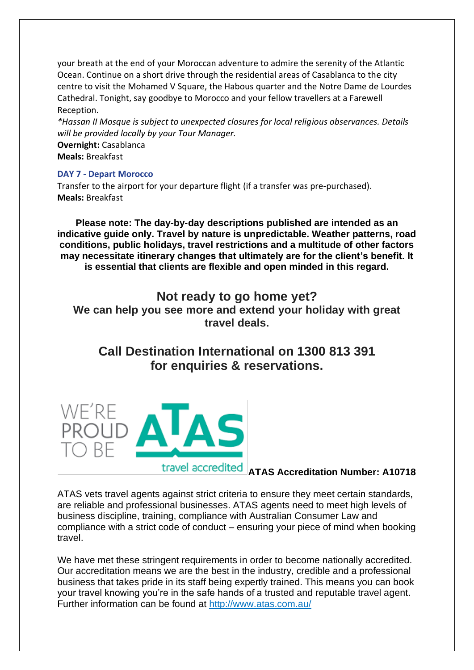your breath at the end of your Moroccan adventure to admire the serenity of the Atlantic Ocean. Continue on a short drive through the residential areas of Casablanca to the city centre to visit the Mohamed V Square, the Habous quarter and the Notre Dame de Lourdes Cathedral. Tonight, say goodbye to Morocco and your fellow travellers at a Farewell Reception.

*\*Hassan II Mosque is subject to unexpected closures for local religious observances. Details will be provided locally by your Tour Manager.*

**Overnight:** Casablanca **Meals:** Breakfast

#### **DAY 7 - Depart Morocco**

Transfer to the airport for your departure flight (if a transfer was pre-purchased). **Meals:** Breakfast

**Please note: The day-by-day descriptions published are intended as an indicative guide only. Travel by nature is unpredictable. Weather patterns, road conditions, public holidays, travel restrictions and a multitude of other factors may necessitate itinerary changes that ultimately are for the client's benefit. It is essential that clients are flexible and open minded in this regard.**

**Not ready to go home yet? We can help you see more and extend your holiday with great travel deals.**

**Call Destination International on 1300 813 391 for enquiries & reservations.**



# **ATAS Accreditation Number: A10718**

ATAS vets travel agents against strict criteria to ensure they meet certain standards, are reliable and professional businesses. ATAS agents need to meet high levels of business discipline, training, compliance with Australian Consumer Law and compliance with a strict code of conduct – ensuring your piece of mind when booking travel.

We have met these stringent requirements in order to become nationally accredited. Our accreditation means we are the best in the industry, credible and a professional business that takes pride in its staff being expertly trained. This means you can book your travel knowing you're in the safe hands of a trusted and reputable travel agent. Further information can be found at<http://www.atas.com.au/>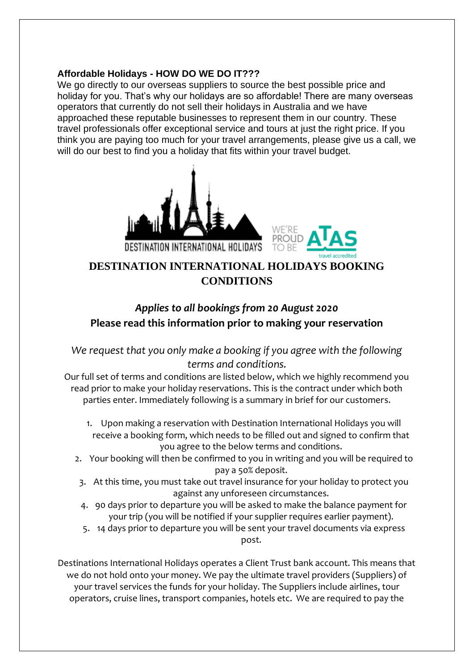#### **Affordable Holidays - HOW DO WE DO IT???**

We go directly to our overseas suppliers to source the best possible price and holiday for you. That's why our holidays are so affordable! There are many overseas operators that currently do not sell their holidays in Australia and we have approached these reputable businesses to represent them in our country. These travel professionals offer exceptional service and tours at just the right price. If you think you are paying too much for your travel arrangements, please give us a call, we will do our best to find you a holiday that fits within your travel budget.





# **DESTINATION INTERNATIONAL HOLIDAYS BOOKING CONDITIONS**

# *Applies to all bookings from 20 August 2020*  **Please read this information prior to making your reservation**

# *We request that you only make a booking if you agree with the following terms and conditions.*

Our full set of terms and conditions are listed below, which we highly recommend you read prior to make your holiday reservations. This is the contract under which both parties enter. Immediately following is a summary in brief for our customers.

- 1. Upon making a reservation with Destination International Holidays you will receive a booking form, which needs to be filled out and signed to confirm that you agree to the below terms and conditions.
- 2. Your booking will then be confirmed to you in writing and you will be required to pay a 50% deposit.
- 3. At this time, you must take out travel insurance for your holiday to protect you against any unforeseen circumstances.
- 4. 90 days prior to departure you will be asked to make the balance payment for your trip (you will be notified if your supplier requires earlier payment).
- 5. 14 days prior to departure you will be sent your travel documents via express post.

Destinations International Holidays operates a Client Trust bank account. This means that we do not hold onto your money. We pay the ultimate travel providers (Suppliers) of your travel services the funds for your holiday. The Suppliers include airlines, tour operators, cruise lines, transport companies, hotels etc. We are required to pay the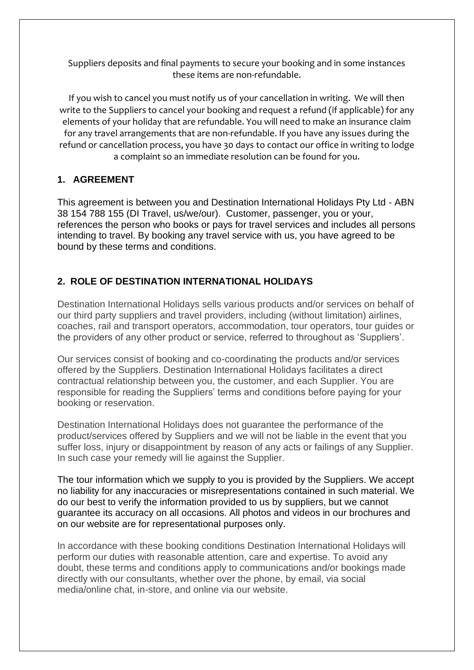Suppliers deposits and final payments to secure your booking and in some instances these items are non-refundable.

If you wish to cancel you must notify us of your cancellation in writing. We will then write to the Suppliers to cancel your booking and request a refund (if applicable) for any elements of your holiday that are refundable. You will need to make an insurance claim for any travel arrangements that are non-refundable. If you have any issues during the refund or cancellation process, you have 30 days to contact our office in writing to lodge a complaint so an immediate resolution can be found for you.

# **1. AGREEMENT**

This agreement is between you and Destination International Holidays Pty Ltd - ABN 38 154 788 155 (DI Travel, us/we/our). Customer, passenger, you or your, references the person who books or pays for travel services and includes all persons intending to travel. By booking any travel service with us, you have agreed to be bound by these terms and conditions.

# **2. ROLE OF DESTINATION INTERNATIONAL HOLIDAYS**

Destination International Holidays sells various products and/or services on behalf of our third party suppliers and travel providers, including (without limitation) airlines, coaches, rail and transport operators, accommodation, tour operators, tour guides or the providers of any other product or service, referred to throughout as 'Suppliers'.

Our services consist of booking and co-coordinating the products and/or services offered by the Suppliers. Destination International Holidays facilitates a direct contractual relationship between you, the customer, and each Supplier. You are responsible for reading the Suppliers' terms and conditions before paying for your booking or reservation.

Destination International Holidays does not guarantee the performance of the product/services offered by Suppliers and we will not be liable in the event that you suffer loss, injury or disappointment by reason of any acts or failings of any Supplier. In such case your remedy will lie against the Supplier.

The tour information which we supply to you is provided by the Suppliers. We accept no liability for any inaccuracies or misrepresentations contained in such material. We do our best to verify the information provided to us by suppliers, but we cannot guarantee its accuracy on all occasions. All photos and videos in our brochures and on our website are for representational purposes only.

In accordance with these booking conditions Destination International Holidays will perform our duties with reasonable attention, care and expertise. To avoid any doubt, these terms and conditions apply to communications and/or bookings made directly with our consultants, whether over the phone, by email, via social media/online chat, in-store, and online via our website.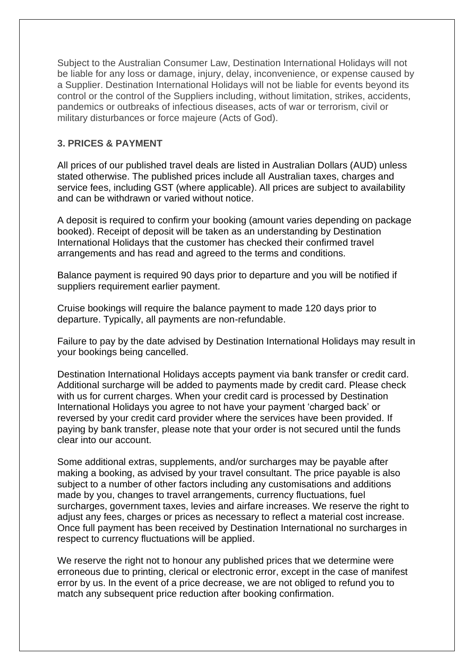Subject to the Australian Consumer Law, Destination International Holidays will not be liable for any loss or damage, injury, delay, inconvenience, or expense caused by a Supplier. Destination International Holidays will not be liable for events beyond its control or the control of the Suppliers including, without limitation, strikes, accidents, pandemics or outbreaks of infectious diseases, acts of war or terrorism, civil or military disturbances or force majeure (Acts of God).

#### **3. PRICES & PAYMENT**

All prices of our published travel deals are listed in Australian Dollars (AUD) unless stated otherwise. The published prices include all Australian taxes, charges and service fees, including GST (where applicable). All prices are subject to availability and can be withdrawn or varied without notice.

A deposit is required to confirm your booking (amount varies depending on package booked). Receipt of deposit will be taken as an understanding by Destination International Holidays that the customer has checked their confirmed travel arrangements and has read and agreed to the terms and conditions.

Balance payment is required 90 days prior to departure and you will be notified if suppliers requirement earlier payment.

Cruise bookings will require the balance payment to made 120 days prior to departure. Typically, all payments are non-refundable.

Failure to pay by the date advised by Destination International Holidays may result in your bookings being cancelled.

Destination International Holidays accepts payment via bank transfer or credit card. Additional surcharge will be added to payments made by credit card. Please check with us for current charges. When your credit card is processed by Destination International Holidays you agree to not have your payment 'charged back' or reversed by your credit card provider where the services have been provided. If paying by bank transfer, please note that your order is not secured until the funds clear into our account.

Some additional extras, supplements, and/or surcharges may be payable after making a booking, as advised by your travel consultant. The price payable is also subject to a number of other factors including any customisations and additions made by you, changes to travel arrangements, currency fluctuations, fuel surcharges, government taxes, levies and airfare increases. We reserve the right to adjust any fees, charges or prices as necessary to reflect a material cost increase. Once full payment has been received by Destination International no surcharges in respect to currency fluctuations will be applied.

We reserve the right not to honour any published prices that we determine were erroneous due to printing, clerical or electronic error, except in the case of manifest error by us. In the event of a price decrease, we are not obliged to refund you to match any subsequent price reduction after booking confirmation.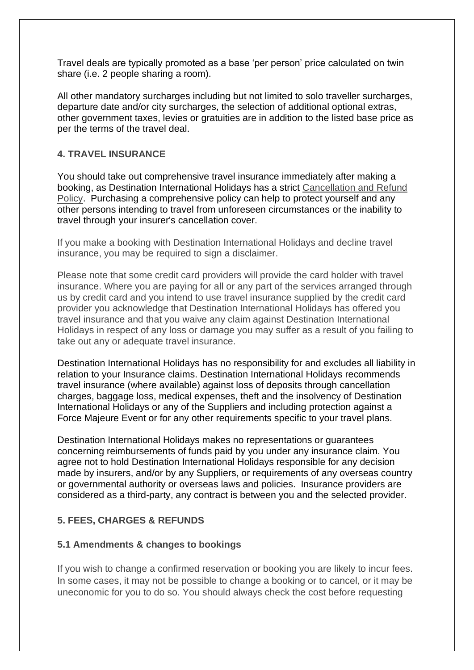Travel deals are typically promoted as a base 'per person' price calculated on twin share (i.e. 2 people sharing a room).

All other mandatory surcharges including but not limited to solo traveller surcharges, departure date and/or city surcharges, the selection of additional optional extras, other government taxes, levies or gratuities are in addition to the listed base price as per the terms of the travel deal.

#### **4. TRAVEL INSURANCE**

You should take out comprehensive travel insurance immediately after making a booking, as Destination International Holidays has a strict [Cancellation and Refund](https://www.ditravel.com.au/wp-content/uploads/2020/08/DIH-CANCELLATION-AND-REFUND-POLICY-2020.pdf)  [Policy.](https://www.ditravel.com.au/wp-content/uploads/2020/08/DIH-CANCELLATION-AND-REFUND-POLICY-2020.pdf) Purchasing a comprehensive policy can help to protect yourself and any other persons intending to travel from unforeseen circumstances or the inability to travel through your insurer's cancellation cover.

If you make a booking with Destination International Holidays and decline travel insurance, you may be required to sign a disclaimer.

Please note that some credit card providers will provide the card holder with travel insurance. Where you are paying for all or any part of the services arranged through us by credit card and you intend to use travel insurance supplied by the credit card provider you acknowledge that Destination International Holidays has offered you travel insurance and that you waive any claim against Destination International Holidays in respect of any loss or damage you may suffer as a result of you failing to take out any or adequate travel insurance.

Destination International Holidays has no responsibility for and excludes all liability in relation to your Insurance claims. Destination International Holidays recommends travel insurance (where available) against loss of deposits through cancellation charges, baggage loss, medical expenses, theft and the insolvency of Destination International Holidays or any of the Suppliers and including protection against a Force Majeure Event or for any other requirements specific to your travel plans.

Destination International Holidays makes no representations or guarantees concerning reimbursements of funds paid by you under any insurance claim. You agree not to hold Destination International Holidays responsible for any decision made by insurers, and/or by any Suppliers, or requirements of any overseas country or governmental authority or overseas laws and policies. Insurance providers are considered as a third-party, any contract is between you and the selected provider.

# **5. FEES, CHARGES & REFUNDS**

#### **5.1 Amendments & changes to bookings**

If you wish to change a confirmed reservation or booking you are likely to incur fees. In some cases, it may not be possible to change a booking or to cancel, or it may be uneconomic for you to do so. You should always check the cost before requesting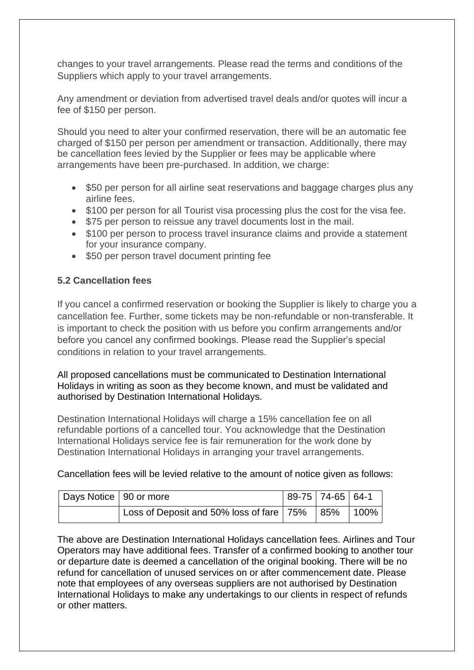changes to your travel arrangements. Please read the terms and conditions of the Suppliers which apply to your travel arrangements.

Any amendment or deviation from advertised travel deals and/or quotes will incur a fee of \$150 per person.

Should you need to alter your confirmed reservation, there will be an automatic fee charged of \$150 per person per amendment or transaction. Additionally, there may be cancellation fees levied by the Supplier or fees may be applicable where arrangements have been pre-purchased. In addition, we charge:

- \$50 per person for all airline seat reservations and baggage charges plus any airline fees.
- \$100 per person for all Tourist visa processing plus the cost for the visa fee.
- \$75 per person to reissue any travel documents lost in the mail.
- \$100 per person to process travel insurance claims and provide a statement for your insurance company.
- \$50 per person travel document printing fee

#### **5.2 Cancellation fees**

If you cancel a confirmed reservation or booking the Supplier is likely to charge you a cancellation fee. Further, some tickets may be non-refundable or non-transferable. It is important to check the position with us before you confirm arrangements and/or before you cancel any confirmed bookings. Please read the Supplier's special conditions in relation to your travel arrangements.

All proposed cancellations must be communicated to Destination International Holidays in writing as soon as they become known, and must be validated and authorised by Destination International Holidays.

Destination International Holidays will charge a 15% cancellation fee on all refundable portions of a cancelled tour. You acknowledge that the Destination International Holidays service fee is fair remuneration for the work done by Destination International Holidays in arranging your travel arrangements.

#### Cancellation fees will be levied relative to the amount of notice given as follows:

| Days Notice   90 or more |                                                  | 89-75   74-65   64-1 |             |
|--------------------------|--------------------------------------------------|----------------------|-------------|
|                          | Loss of Deposit and 50% loss of fare   75%   85% |                      | $\mid$ 100% |

The above are Destination International Holidays cancellation fees. Airlines and Tour Operators may have additional fees. Transfer of a confirmed booking to another tour or departure date is deemed a cancellation of the original booking. There will be no refund for cancellation of unused services on or after commencement date. Please note that employees of any overseas suppliers are not authorised by Destination International Holidays to make any undertakings to our clients in respect of refunds or other matters.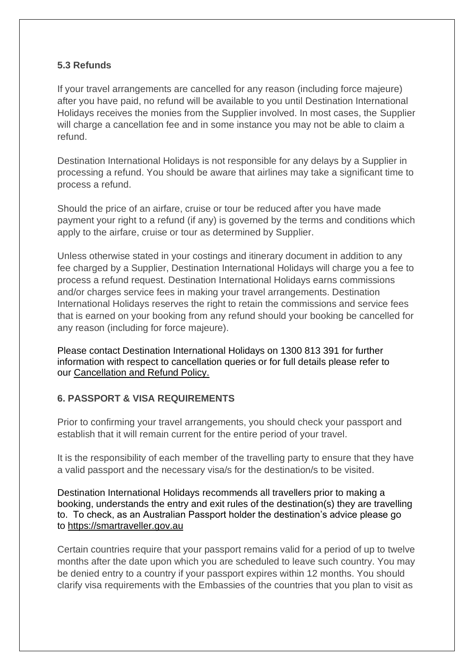# **5.3 Refunds**

If your travel arrangements are cancelled for any reason (including force majeure) after you have paid, no refund will be available to you until Destination International Holidays receives the monies from the Supplier involved. In most cases, the Supplier will charge a cancellation fee and in some instance you may not be able to claim a refund.

Destination International Holidays is not responsible for any delays by a Supplier in processing a refund. You should be aware that airlines may take a significant time to process a refund.

Should the price of an airfare, cruise or tour be reduced after you have made payment your right to a refund (if any) is governed by the terms and conditions which apply to the airfare, cruise or tour as determined by Supplier.

Unless otherwise stated in your costings and itinerary document in addition to any fee charged by a Supplier, Destination International Holidays will charge you a fee to process a refund request. Destination International Holidays earns commissions and/or charges service fees in making your travel arrangements. Destination International Holidays reserves the right to retain the commissions and service fees that is earned on your booking from any refund should your booking be cancelled for any reason (including for force majeure).

Please contact Destination International Holidays on 1300 813 391 for further information with respect to cancellation queries or for full details please refer to our [Cancellation and Refund Policy.](https://www.ditravel.com.au/wp-content/uploads/2020/08/DIH-CANCELLATION-AND-REFUND-POLICY-2020.pdf)

# **6. PASSPORT & VISA REQUIREMENTS**

Prior to confirming your travel arrangements, you should check your passport and establish that it will remain current for the entire period of your travel.

It is the responsibility of each member of the travelling party to ensure that they have a valid passport and the necessary visa/s for the destination/s to be visited.

Destination International Holidays recommends all travellers prior to making a booking, understands the entry and exit rules of the destination(s) they are travelling to. To check, as an Australian Passport holder the destination's advice please go to [https://smartraveller.gov.au](https://smartraveller.gov.au/)

Certain countries require that your passport remains valid for a period of up to twelve months after the date upon which you are scheduled to leave such country. You may be denied entry to a country if your passport expires within 12 months. You should clarify visa requirements with the Embassies of the countries that you plan to visit as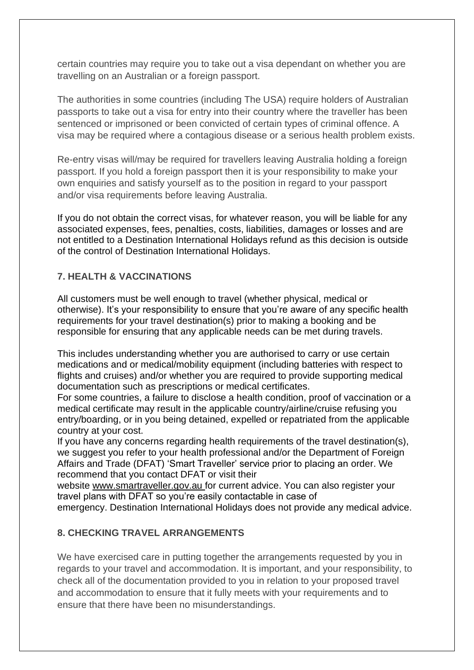certain countries may require you to take out a visa dependant on whether you are travelling on an Australian or a foreign passport.

The authorities in some countries (including The USA) require holders of Australian passports to take out a visa for entry into their country where the traveller has been sentenced or imprisoned or been convicted of certain types of criminal offence. A visa may be required where a contagious disease or a serious health problem exists.

Re-entry visas will/may be required for travellers leaving Australia holding a foreign passport. If you hold a foreign passport then it is your responsibility to make your own enquiries and satisfy yourself as to the position in regard to your passport and/or visa requirements before leaving Australia.

If you do not obtain the correct visas, for whatever reason, you will be liable for any associated expenses, fees, penalties, costs, liabilities, damages or losses and are not entitled to a Destination International Holidays refund as this decision is outside of the control of Destination International Holidays.

# **7. HEALTH & VACCINATIONS**

All customers must be well enough to travel (whether physical, medical or otherwise). It's your responsibility to ensure that you're aware of any specific health requirements for your travel destination(s) prior to making a booking and be responsible for ensuring that any applicable needs can be met during travels.

This includes understanding whether you are authorised to carry or use certain medications and or medical/mobility equipment (including batteries with respect to flights and cruises) and/or whether you are required to provide supporting medical documentation such as prescriptions or medical certificates.

For some countries, a failure to disclose a health condition, proof of vaccination or a medical certificate may result in the applicable country/airline/cruise refusing you entry/boarding, or in you being detained, expelled or repatriated from the applicable country at your cost.

If you have any concerns regarding health requirements of the travel destination(s), we suggest you refer to your health professional and/or the Department of Foreign Affairs and Trade (DFAT) 'Smart Traveller' service prior to placing an order. We recommend that you contact DFAT or visit their

website [www.smartraveller.gov.au](http://www.smartraveller.gov.au/) [f](http://www.smartraveller.gov.au/)or current advice. You can also register your travel plans with DFAT so you're easily contactable in case of

emergency. Destination International Holidays does not provide any medical advice.

#### **8. CHECKING TRAVEL ARRANGEMENTS**

We have exercised care in putting together the arrangements requested by you in regards to your travel and accommodation. It is important, and your responsibility, to check all of the documentation provided to you in relation to your proposed travel and accommodation to ensure that it fully meets with your requirements and to ensure that there have been no misunderstandings.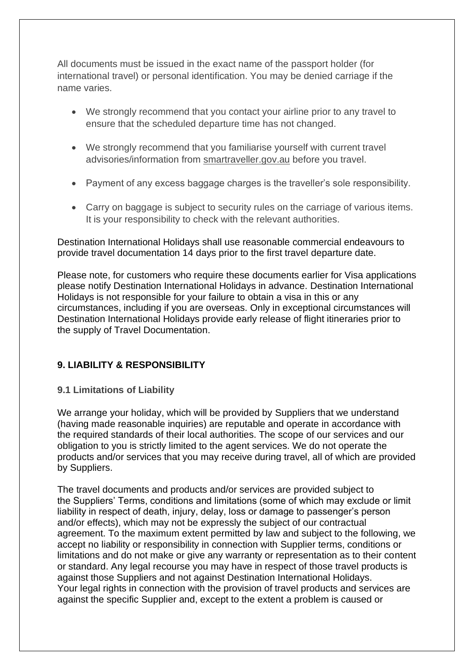All documents must be issued in the exact name of the passport holder (for international travel) or personal identification. You may be denied carriage if the name varies.

- We strongly recommend that you contact your airline prior to any travel to ensure that the scheduled departure time has not changed.
- We strongly recommend that you familiarise yourself with current travel advisories/information from [smartraveller.gov.au](https://www.smartraveller.gov.au/) before you travel.
- Payment of any excess baggage charges is the traveller's sole responsibility.
- Carry on baggage is subject to security rules on the carriage of various items. It is your responsibility to check with the relevant authorities.

Destination International Holidays shall use reasonable commercial endeavours to provide travel documentation 14 days prior to the first travel departure date.

Please note, for customers who require these documents earlier for Visa applications please notify Destination International Holidays in advance. Destination International Holidays is not responsible for your failure to obtain a visa in this or any circumstances, including if you are overseas. Only in exceptional circumstances will Destination International Holidays provide early release of flight itineraries prior to the supply of Travel Documentation.

# **9. LIABILITY & RESPONSIBILITY**

# **9.1 Limitations of Liability**

We arrange your holiday, which will be provided by Suppliers that we understand (having made reasonable inquiries) are reputable and operate in accordance with the required standards of their local authorities. The scope of our services and our obligation to you is strictly limited to the agent services. We do not operate the products and/or services that you may receive during travel, all of which are provided by Suppliers.

The travel documents and products and/or services are provided subject to the Suppliers' Terms, conditions and limitations (some of which may exclude or limit liability in respect of death, injury, delay, loss or damage to passenger's person and/or effects), which may not be expressly the subject of our contractual agreement. To the maximum extent permitted by law and subject to the following, we accept no liability or responsibility in connection with Supplier terms, conditions or limitations and do not make or give any warranty or representation as to their content or standard. Any legal recourse you may have in respect of those travel products is against those Suppliers and not against Destination International Holidays. Your legal rights in connection with the provision of travel products and services are against the specific Supplier and, except to the extent a problem is caused or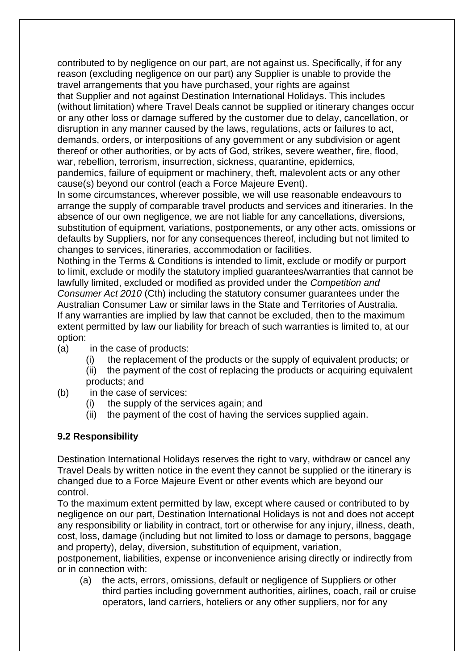contributed to by negligence on our part, are not against us. Specifically, if for any reason (excluding negligence on our part) any Supplier is unable to provide the travel arrangements that you have purchased, your rights are against that Supplier and not against Destination International Holidays. This includes (without limitation) where Travel Deals cannot be supplied or itinerary changes occur or any other loss or damage suffered by the customer due to delay, cancellation, or disruption in any manner caused by the laws, regulations, acts or failures to act, demands, orders, or interpositions of any government or any subdivision or agent thereof or other authorities, or by acts of God, strikes, severe weather, fire, flood, war, rebellion, terrorism, insurrection, sickness, quarantine, epidemics,

pandemics, failure of equipment or machinery, theft, malevolent acts or any other cause(s) beyond our control (each a Force Majeure Event).

In some circumstances, wherever possible, we will use reasonable endeavours to arrange the supply of comparable travel products and services and itineraries. In the absence of our own negligence, we are not liable for any cancellations, diversions, substitution of equipment, variations, postponements, or any other acts, omissions or defaults by Suppliers, nor for any consequences thereof, including but not limited to changes to services, itineraries, accommodation or facilities.

Nothing in the Terms & Conditions is intended to limit, exclude or modify or purport to limit, exclude or modify the statutory implied guarantees/warranties that cannot be lawfully limited, excluded or modified as provided under the *Competition and Consumer Act 2010* (Cth) including the statutory consumer guarantees under the Australian Consumer Law or similar laws in the State and Territories of Australia. If any warranties are implied by law that cannot be excluded, then to the maximum extent permitted by law our liability for breach of such warranties is limited to, at our option:

- (a) in the case of products:
	- (i) the replacement of the products or the supply of equivalent products; or
	- (ii) the payment of the cost of replacing the products or acquiring equivalent products; and
- (b) in the case of services:
	- (i) the supply of the services again; and
	- (ii) the payment of the cost of having the services supplied again.

# **9.2 Responsibility**

Destination International Holidays reserves the right to vary, withdraw or cancel any Travel Deals by written notice in the event they cannot be supplied or the itinerary is changed due to a Force Majeure Event or other events which are beyond our control.

To the maximum extent permitted by law, except where caused or contributed to by negligence on our part, Destination International Holidays is not and does not accept any responsibility or liability in contract, tort or otherwise for any injury, illness, death, cost, loss, damage (including but not limited to loss or damage to persons, baggage and property), delay, diversion, substitution of equipment, variation,

postponement, liabilities, expense or inconvenience arising directly or indirectly from or in connection with:

(a) the acts, errors, omissions, default or negligence of Suppliers or other third parties including government authorities, airlines, coach, rail or cruise operators, land carriers, hoteliers or any other suppliers, nor for any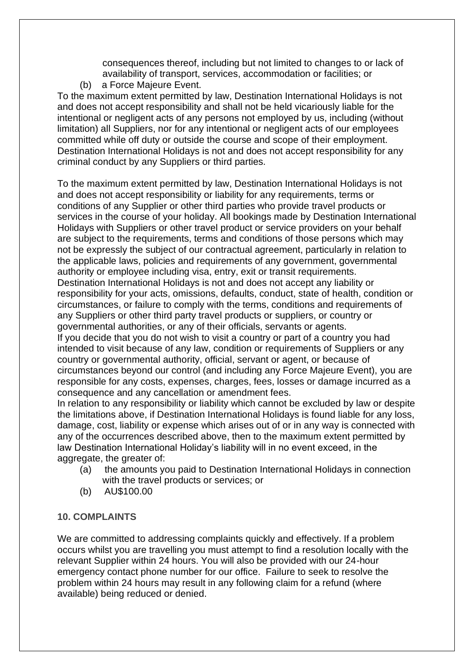consequences thereof, including but not limited to changes to or lack of availability of transport, services, accommodation or facilities; or

(b) a Force Majeure Event.

To the maximum extent permitted by law, Destination International Holidays is not and does not accept responsibility and shall not be held vicariously liable for the intentional or negligent acts of any persons not employed by us, including (without limitation) all Suppliers, nor for any intentional or negligent acts of our employees committed while off duty or outside the course and scope of their employment. Destination International Holidays is not and does not accept responsibility for any criminal conduct by any Suppliers or third parties.

To the maximum extent permitted by law, Destination International Holidays is not and does not accept responsibility or liability for any requirements, terms or conditions of any Supplier or other third parties who provide travel products or services in the course of your holiday. All bookings made by Destination International Holidays with Suppliers or other travel product or service providers on your behalf are subject to the requirements, terms and conditions of those persons which may not be expressly the subject of our contractual agreement, particularly in relation to the applicable laws, policies and requirements of any government, governmental authority or employee including visa, entry, exit or transit requirements. Destination International Holidays is not and does not accept any liability or responsibility for your acts, omissions, defaults, conduct, state of health, condition or circumstances, or failure to comply with the terms, conditions and requirements of any Suppliers or other third party travel products or suppliers, or country or governmental authorities, or any of their officials, servants or agents. If you decide that you do not wish to visit a country or part of a country you had intended to visit because of any law, condition or requirements of Suppliers or any country or governmental authority, official, servant or agent, or because of circumstances beyond our control (and including any Force Majeure Event), you are responsible for any costs, expenses, charges, fees, losses or damage incurred as a consequence and any cancellation or amendment fees.

In relation to any responsibility or liability which cannot be excluded by law or despite the limitations above, if Destination International Holidays is found liable for any loss, damage, cost, liability or expense which arises out of or in any way is connected with any of the occurrences described above, then to the maximum extent permitted by law Destination International Holiday's liability will in no event exceed, in the aggregate, the greater of:

- (a) the amounts you paid to Destination International Holidays in connection with the travel products or services; or
- (b) AU\$100.00

# **10. COMPLAINTS**

We are committed to addressing complaints quickly and effectively. If a problem occurs whilst you are travelling you must attempt to find a resolution locally with the relevant Supplier within 24 hours. You will also be provided with our 24-hour emergency contact phone number for our office. Failure to seek to resolve the problem within 24 hours may result in any following claim for a refund (where available) being reduced or denied.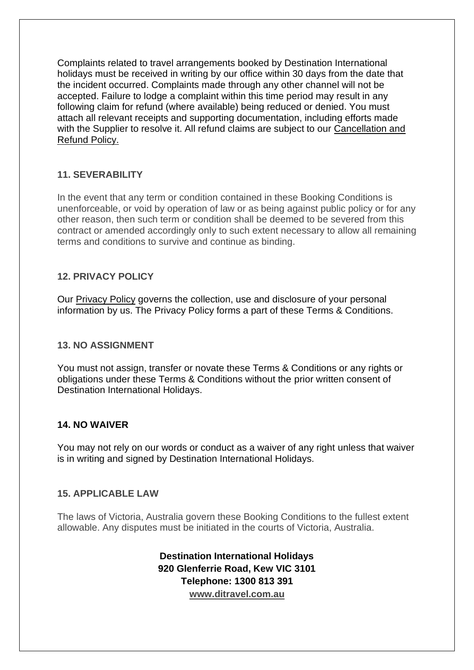Complaints related to travel arrangements booked by Destination International holidays must be received in writing by our office within 30 days from the date that the incident occurred. Complaints made through any other channel will not be accepted. Failure to lodge a complaint within this time period may result in any following claim for refund (where available) being reduced or denied. You must attach all relevant receipts and supporting documentation, including efforts made with the Supplier to resolve it. All refund claims are subiect to our Cancellation and [Refund Policy.](https://www.ditravel.com.au/wp-content/uploads/2020/08/DIH-CANCELLATION-AND-REFUND-POLICY-2020.pdf)

# **11. SEVERABILITY**

In the event that any term or condition contained in these Booking Conditions is unenforceable, or void by operation of law or as being against public policy or for any other reason, then such term or condition shall be deemed to be severed from this contract or amended accordingly only to such extent necessary to allow all remaining terms and conditions to survive and continue as binding.

#### **12. PRIVACY POLICY**

Our [Privacy Policy](https://www.ditravel.com.au/wpautoterms/privacy-policy/) governs the collection, use and disclosure of your personal information by us. The Privacy Policy forms a part of these Terms & Conditions.

#### **13. NO ASSIGNMENT**

You must not assign, transfer or novate these Terms & Conditions or any rights or obligations under these Terms & Conditions without the prior written consent of Destination International Holidays.

#### **14. NO WAIVER**

You may not rely on our words or conduct as a waiver of any right unless that waiver is in writing and signed by Destination International Holidays.

#### **15. APPLICABLE LAW**

The laws of Victoria, Australia govern these Booking Conditions to the fullest extent allowable. Any disputes must be initiated in the courts of Victoria, Australia.

> **Destination International Holidays 920 Glenferrie Road, Kew VIC 3101 Telephone: 1300 813 391 [www.ditravel.com.au](http://www.ditravel.com.au/)**